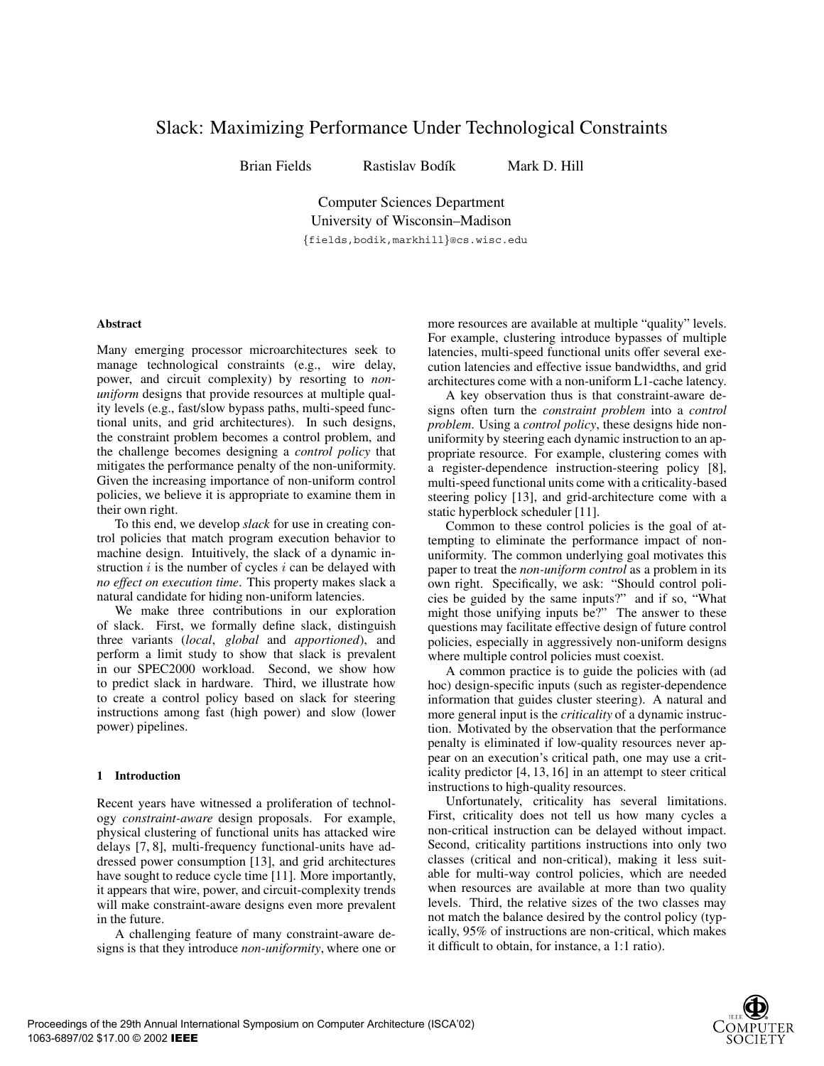# Slack: Maximizing Performance Under Technological Constraints

Brian Fields Rastislav Bodík Mark D. Hill

Computer Sciences Department University of Wisconsin–Madison

*{*fields,bodik,markhill*}*@cs.wisc.edu

# **Abstract**

Many emerging processor microarchitectures seek to manage technological constraints (e.g., wire delay, power, and circuit complexity) by resorting to *nonuniform* designs that provide resources at multiple quality levels (e.g., fast/slow bypass paths, multi-speed functional units, and grid architectures). In such designs, the constraint problem becomes a control problem, and the challenge becomes designing a *control policy* that mitigates the performance penalty of the non-uniformity. Given the increasing importance of non-uniform control policies, we believe it is appropriate to examine them in their own right.

To this end, we develop *slack* for use in creating control policies that match program execution behavior to machine design. Intuitively, the slack of a dynamic instruction *i* is the number of cycles *i* can be delayed with *no effect on execution time*. This property makes slack a natural candidate for hiding non-uniform latencies.

We make three contributions in our exploration of slack. First, we formally define slack, distinguish three variants (*local*, *global* and *apportioned*), and perform a limit study to show that slack is prevalent in our SPEC2000 workload. Second, we show how to predict slack in hardware. Third, we illustrate how to create a control policy based on slack for steering instructions among fast (high power) and slow (lower power) pipelines.

# **1 Introduction**

Recent years have witnessed a proliferation of technology *constraint-aware* design proposals. For example, physical clustering of functional units has attacked wire delays [7, 8], multi-frequency functional-units have addressed power consumption [13], and grid architectures have sought to reduce cycle time [11]. More importantly, it appears that wire, power, and circuit-complexity trends will make constraint-aware designs even more prevalent in the future.

A challenging feature of many constraint-aware designs is that they introduce *non-uniformity*, where one or

more resources are available at multiple "quality" levels. For example, clustering introduce bypasses of multiple latencies, multi-speed functional units offer several execution latencies and effective issue bandwidths, and grid architectures come with a non-uniform L1-cache latency.

A key observation thus is that constraint-aware designs often turn the *constraint problem* into a *control problem*. Using a *control policy*, these designs hide nonuniformity by steering each dynamic instruction to an appropriate resource. For example, clustering comes with a register-dependence instruction-steering policy [8], multi-speed functional units come with a criticality-based steering policy [13], and grid-architecture come with a static hyperblock scheduler [11].

Common to these control policies is the goal of attempting to eliminate the performance impact of nonuniformity. The common underlying goal motivates this paper to treat the *non-uniform control* as a problem in its own right. Specifically, we ask: "Should control policies be guided by the same inputs?" and if so, "What might those unifying inputs be?" The answer to these questions may facilitate effective design of future control policies, especially in aggressively non-uniform designs where multiple control policies must coexist.

A common practice is to guide the policies with (ad hoc) design-specific inputs (such as register-dependence information that guides cluster steering). A natural and more general input is the *criticality* of a dynamic instruction. Motivated by the observation that the performance penalty is eliminated if low-quality resources never appear on an execution's critical path, one may use a criticality predictor [4, 13, 16] in an attempt to steer critical instructions to high-quality resources.

Unfortunately, criticality has several limitations. First, criticality does not tell us how many cycles a non-critical instruction can be delayed without impact. Second, criticality partitions instructions into only two classes (critical and non-critical), making it less suitable for multi-way control policies, which are needed when resources are available at more than two quality levels. Third, the relative sizes of the two classes may not match the balance desired by the control policy (typically, 95% of instructions are non-critical, which makes it difficult to obtain, for instance, a 1:1 ratio).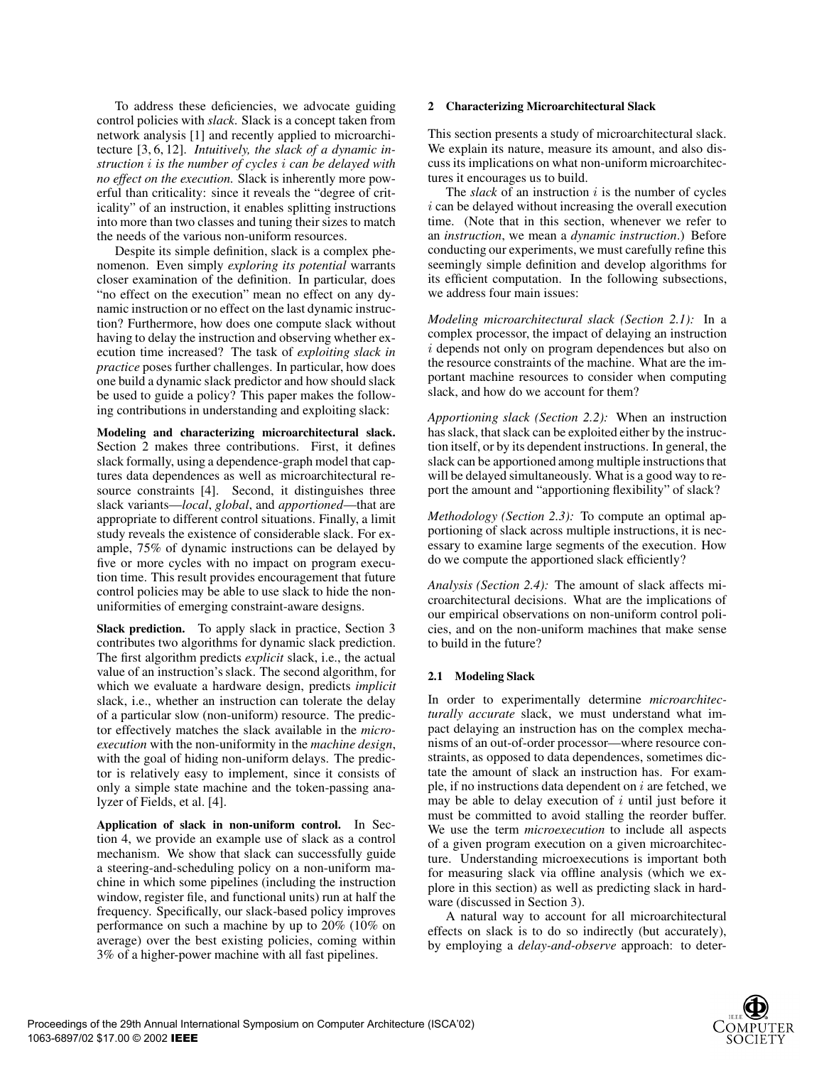To address these deficiencies, we advocate guiding control policies with *slack*. Slack is a concept taken from network analysis [1] and recently applied to microarchitecture [3, 6, 12]. *Intuitively, the slack of a dynamic instruction i is the number of cycles i can be delayed with no effect on the execution.* Slack is inherently more powerful than criticality: since it reveals the "degree of criticality" of an instruction, it enables splitting instructions into more than two classes and tuning their sizes to match the needs of the various non-uniform resources.

Despite its simple definition, slack is a complex phenomenon. Even simply *exploring its potential* warrants closer examination of the definition. In particular, does "no effect on the execution" mean no effect on any dynamic instruction or no effect on the last dynamic instruction? Furthermore, how does one compute slack without having to delay the instruction and observing whether execution time increased? The task of *exploiting slack in practice* poses further challenges. In particular, how does one build a dynamic slack predictor and how should slack be used to guide a policy? This paper makes the following contributions in understanding and exploiting slack:

**Modeling and characterizing microarchitectural slack.** Section 2 makes three contributions. First, it defines slack formally, using a dependence-graph model that captures data dependences as well as microarchitectural resource constraints [4]. Second, it distinguishes three slack variants—*local*, *global*, and *apportioned*—that are appropriate to different control situations. Finally, a limit study reveals the existence of considerable slack. For example, 75% of dynamic instructions can be delayed by five or more cycles with no impact on program execution time. This result provides encouragement that future control policies may be able to use slack to hide the nonuniformities of emerging constraint-aware designs.

**Slack prediction.** To apply slack in practice, Section 3 contributes two algorithms for dynamic slack prediction. The first algorithm predicts *explicit* slack, i.e., the actual value of an instruction's slack. The second algorithm, for which we evaluate a hardware design, predicts *implicit* slack, i.e., whether an instruction can tolerate the delay of a particular slow (non-uniform) resource. The predictor effectively matches the slack available in the *microexecution* with the non-uniformity in the *machine design*, with the goal of hiding non-uniform delays. The predictor is relatively easy to implement, since it consists of only a simple state machine and the token-passing analyzer of Fields, et al. [4].

**Application of slack in non-uniform control.** In Section 4, we provide an example use of slack as a control mechanism. We show that slack can successfully guide a steering-and-scheduling policy on a non-uniform machine in which some pipelines (including the instruction window, register file, and functional units) run at half the frequency. Specifically, our slack-based policy improves performance on such a machine by up to 20% (10% on average) over the best existing policies, coming within 3% of a higher-power machine with all fast pipelines.

## **2 Characterizing Microarchitectural Slack**

This section presents a study of microarchitectural slack. We explain its nature, measure its amount, and also discuss its implications on what non-uniform microarchitectures it encourages us to build.

The *slack* of an instruction *i* is the number of cycles *i* can be delayed without increasing the overall execution time. (Note that in this section, whenever we refer to an *instruction*, we mean a *dynamic instruction*.) Before conducting our experiments, we must carefully refine this seemingly simple definition and develop algorithms for its efficient computation. In the following subsections, we address four main issues:

*Modeling microarchitectural slack (Section 2.1):* In a complex processor, the impact of delaying an instruction *i* depends not only on program dependences but also on the resource constraints of the machine. What are the important machine resources to consider when computing slack, and how do we account for them?

*Apportioning slack (Section 2.2):* When an instruction has slack, that slack can be exploited either by the instruction itself, or by its dependent instructions. In general, the slack can be apportioned among multiple instructions that will be delayed simultaneously. What is a good way to report the amount and "apportioning flexibility" of slack?

*Methodology (Section 2.3):* To compute an optimal apportioning of slack across multiple instructions, it is necessary to examine large segments of the execution. How do we compute the apportioned slack efficiently?

*Analysis (Section 2.4):* The amount of slack affects microarchitectural decisions. What are the implications of our empirical observations on non-uniform control policies, and on the non-uniform machines that make sense to build in the future?

## **2.1 Modeling Slack**

In order to experimentally determine *microarchitecturally accurate* slack, we must understand what impact delaying an instruction has on the complex mechanisms of an out-of-order processor—where resource constraints, as opposed to data dependences, sometimes dictate the amount of slack an instruction has. For example, if no instructions data dependent on *i* are fetched, we may be able to delay execution of *i* until just before it must be committed to avoid stalling the reorder buffer. We use the term *microexecution* to include all aspects of a given program execution on a given microarchitecture. Understanding microexecutions is important both for measuring slack via offline analysis (which we explore in this section) as well as predicting slack in hardware (discussed in Section 3).

A natural way to account for all microarchitectural effects on slack is to do so indirectly (but accurately), by employing a *delay-and-observe* approach: to deter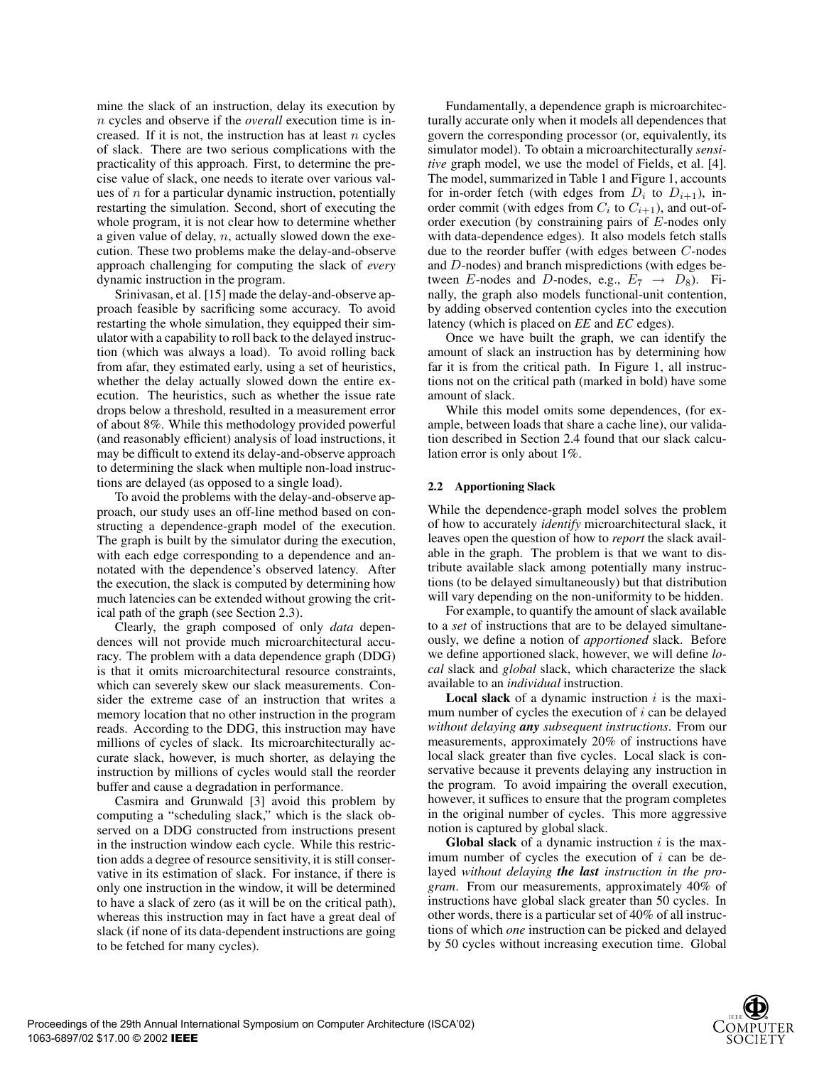mine the slack of an instruction, delay its execution by *n* cycles and observe if the *overall* execution time is increased. If it is not, the instruction has at least *n* cycles of slack. There are two serious complications with the practicality of this approach. First, to determine the precise value of slack, one needs to iterate over various values of *n* for a particular dynamic instruction, potentially restarting the simulation. Second, short of executing the whole program, it is not clear how to determine whether a given value of delay, *n*, actually slowed down the execution. These two problems make the delay-and-observe approach challenging for computing the slack of *every* dynamic instruction in the program.

Srinivasan, et al. [15] made the delay-and-observe approach feasible by sacrificing some accuracy. To avoid restarting the whole simulation, they equipped their simulator with a capability to roll back to the delayed instruction (which was always a load). To avoid rolling back from afar, they estimated early, using a set of heuristics, whether the delay actually slowed down the entire execution. The heuristics, such as whether the issue rate drops below a threshold, resulted in a measurement error of about 8%. While this methodology provided powerful (and reasonably efficient) analysis of load instructions, it may be difficult to extend its delay-and-observe approach to determining the slack when multiple non-load instructions are delayed (as opposed to a single load).

To avoid the problems with the delay-and-observe approach, our study uses an off-line method based on constructing a dependence-graph model of the execution. The graph is built by the simulator during the execution, with each edge corresponding to a dependence and annotated with the dependence's observed latency. After the execution, the slack is computed by determining how much latencies can be extended without growing the critical path of the graph (see Section 2.3).

Clearly, the graph composed of only *data* dependences will not provide much microarchitectural accuracy. The problem with a data dependence graph (DDG) is that it omits microarchitectural resource constraints, which can severely skew our slack measurements. Consider the extreme case of an instruction that writes a memory location that no other instruction in the program reads. According to the DDG, this instruction may have millions of cycles of slack. Its microarchitecturally accurate slack, however, is much shorter, as delaying the instruction by millions of cycles would stall the reorder buffer and cause a degradation in performance.

Casmira and Grunwald [3] avoid this problem by computing a "scheduling slack," which is the slack observed on a DDG constructed from instructions present in the instruction window each cycle. While this restriction adds a degree of resource sensitivity, it is still conservative in its estimation of slack. For instance, if there is only one instruction in the window, it will be determined to have a slack of zero (as it will be on the critical path), whereas this instruction may in fact have a great deal of slack (if none of its data-dependent instructions are going to be fetched for many cycles).

Fundamentally, a dependence graph is microarchitecturally accurate only when it models all dependences that govern the corresponding processor (or, equivalently, its simulator model). To obtain a microarchitecturally *sensitive* graph model, we use the model of Fields, et al. [4]. The model, summarized in Table 1 and Figure 1, accounts for in-order fetch (with edges from  $D_i$  to  $D_{i+1}$ ), inorder commit (with edges from  $C_i$  to  $C_{i+1}$ ), and out-oforder execution (by constraining pairs of *E*-nodes only with data-dependence edges). It also models fetch stalls due to the reorder buffer (with edges between *C*-nodes and *D*-nodes) and branch mispredictions (with edges between *E*-nodes and *D*-nodes, e.g.,  $E_7 \rightarrow D_8$ ). Finally, the graph also models functional-unit contention, by adding observed contention cycles into the execution latency (which is placed on *EE* and *EC* edges).

Once we have built the graph, we can identify the amount of slack an instruction has by determining how far it is from the critical path. In Figure 1, all instructions not on the critical path (marked in bold) have some amount of slack.

While this model omits some dependences, (for example, between loads that share a cache line), our validation described in Section 2.4 found that our slack calculation error is only about 1%.

# **2.2 Apportioning Slack**

While the dependence-graph model solves the problem of how to accurately *identify* microarchitectural slack, it leaves open the question of how to *report* the slack available in the graph. The problem is that we want to distribute available slack among potentially many instructions (to be delayed simultaneously) but that distribution will vary depending on the non-uniformity to be hidden.

For example, to quantify the amount of slack available to a *set* of instructions that are to be delayed simultaneously, we define a notion of *apportioned* slack. Before we define apportioned slack, however, we will define *local* slack and *global* slack, which characterize the slack available to an *individual* instruction.

**Local slack** of a dynamic instruction *i* is the maximum number of cycles the execution of *i* can be delayed *without delaying any subsequent instructions*. From our measurements, approximately 20% of instructions have local slack greater than five cycles. Local slack is conservative because it prevents delaying any instruction in the program. To avoid impairing the overall execution, however, it suffices to ensure that the program completes in the original number of cycles. This more aggressive notion is captured by global slack.

**Global slack** of a dynamic instruction *i* is the maximum number of cycles the execution of *i* can be delayed *without delaying the last instruction in the program*. From our measurements, approximately 40% of instructions have global slack greater than 50 cycles. In other words, there is a particular set of 40% of all instructions of which *one* instruction can be picked and delayed by 50 cycles without increasing execution time. Global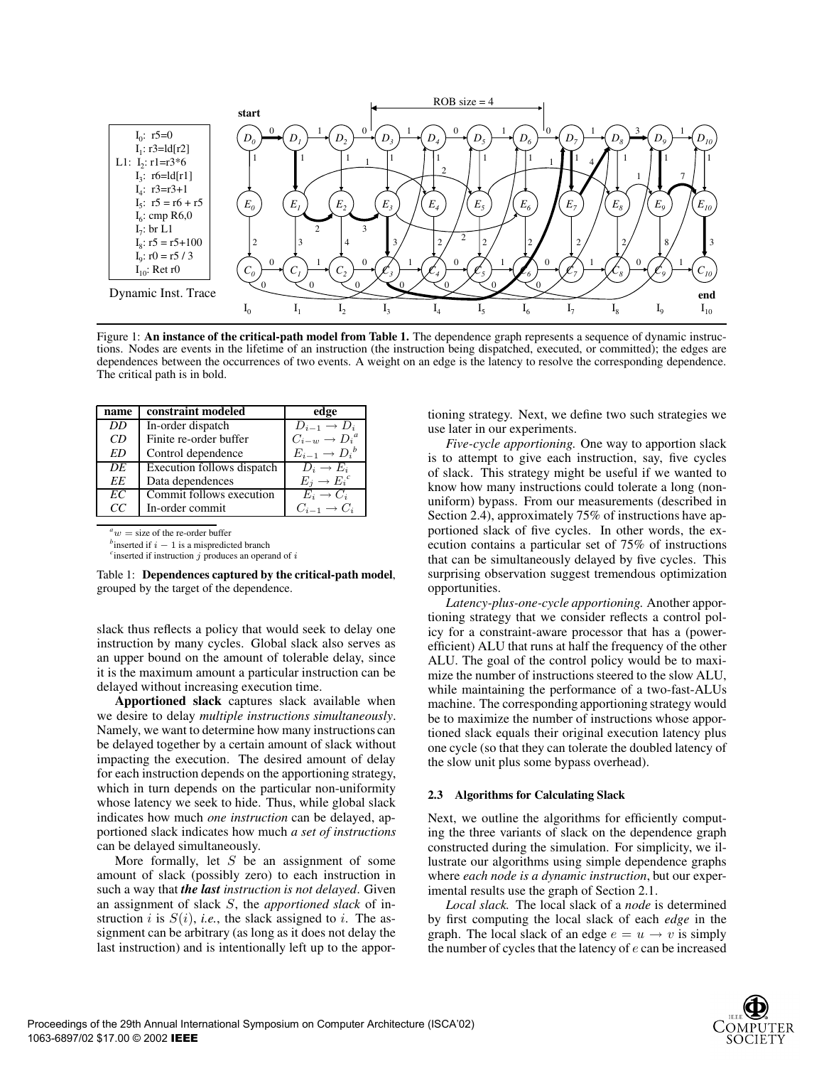

Figure 1: **An instance of the critical-path model from Table 1.** The dependence graph represents a sequence of dynamic instructions. Nodes are events in the lifetime of an instruction (the instruction being dispatched, executed, or committed); the edges are dependences between the occurrences of two events. A weight on an edge is the latency to resolve the corresponding dependence. The critical path is in bold.

| name | constraint modeled         | edge                        |
|------|----------------------------|-----------------------------|
| DD.  | In-order dispatch          | $D_{i-1} \rightarrow D_i$   |
| CD   | Finite re-order buffer     | $C_{i-w} \to D_i^a$         |
| ED   | Control dependence         | $E_{i-1} \rightarrow D_i^b$ |
| DE   | Execution follows dispatch | $D_i \rightarrow E_i$       |
| EE   | Data dependences           | $E_i \to E_i^c$             |
| EC   | Commit follows execution   | $E_i \to C_i$               |
| CС   | In-order commit            | $C_{i-1} \rightarrow C_i$   |

 $a^a w =$  size of the re-order buffer

 *inserted if*  $i - 1$  *is a mispredicted branch* 

 $\epsilon$  inserted if instruction  $j$  produces an operand of  $i$ 

Table 1: **Dependences captured by the critical-path model**, grouped by the target of the dependence.

slack thus reflects a policy that would seek to delay one instruction by many cycles. Global slack also serves as an upper bound on the amount of tolerable delay, since it is the maximum amount a particular instruction can be delayed without increasing execution time.

**Apportioned slack** captures slack available when we desire to delay *multiple instructions simultaneously*. Namely, we want to determine how many instructions can be delayed together by a certain amount of slack without impacting the execution. The desired amount of delay for each instruction depends on the apportioning strategy, which in turn depends on the particular non-uniformity whose latency we seek to hide. Thus, while global slack indicates how much *one instruction* can be delayed, apportioned slack indicates how much *a set of instructions* can be delayed simultaneously.

More formally, let *S* be an assignment of some amount of slack (possibly zero) to each instruction in such a way that *the last instruction is not delayed*. Given an assignment of slack *S*, the *apportioned slack* of instruction *i* is  $S(i)$ , *i.e.*, the slack assigned to *i*. The assignment can be arbitrary (as long as it does not delay the last instruction) and is intentionally left up to the apportioning strategy. Next, we define two such strategies we use later in our experiments.

*Five-cycle apportioning.* One way to apportion slack is to attempt to give each instruction, say, five cycles of slack. This strategy might be useful if we wanted to know how many instructions could tolerate a long (nonuniform) bypass. From our measurements (described in Section 2.4), approximately 75% of instructions have apportioned slack of five cycles. In other words, the execution contains a particular set of 75% of instructions that can be simultaneously delayed by five cycles. This surprising observation suggest tremendous optimization opportunities.

*Latency-plus-one-cycle apportioning.* Another apportioning strategy that we consider reflects a control policy for a constraint-aware processor that has a (powerefficient) ALU that runs at half the frequency of the other ALU. The goal of the control policy would be to maximize the number of instructions steered to the slow ALU, while maintaining the performance of a two-fast-ALUs machine. The corresponding apportioning strategy would be to maximize the number of instructions whose apportioned slack equals their original execution latency plus one cycle (so that they can tolerate the doubled latency of the slow unit plus some bypass overhead).

## **2.3 Algorithms for Calculating Slack**

Next, we outline the algorithms for efficiently computing the three variants of slack on the dependence graph constructed during the simulation. For simplicity, we illustrate our algorithms using simple dependence graphs where *each node is a dynamic instruction*, but our experimental results use the graph of Section 2.1.

*Local slack.* The local slack of a *node* is determined by first computing the local slack of each *edge* in the graph. The local slack of an edge  $e = u \rightarrow v$  is simply the number of cycles that the latency of *e* can be increased

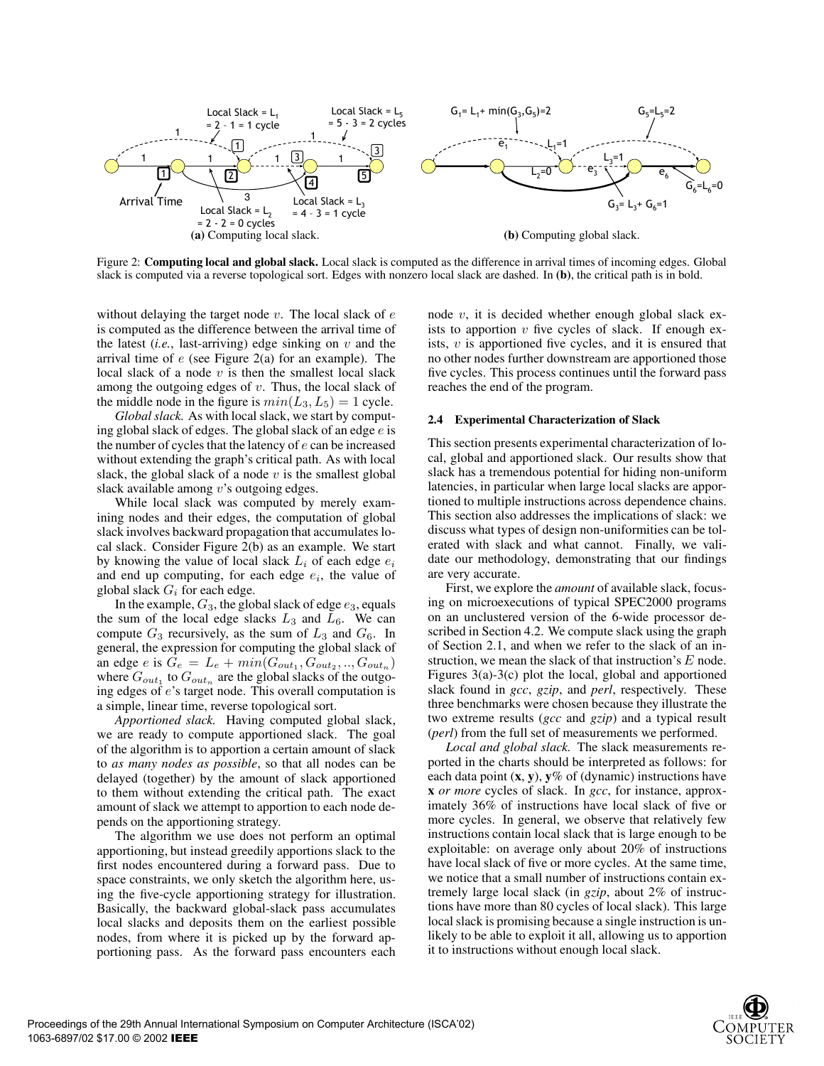

Figure 2: **Computing local and global slack.** Local slack is computed as the difference in arrival times of incoming edges. Global slack is computed via a reverse topological sort. Edges with nonzero local slack are dashed. In **(b)**, the critical path is in bold.

without delaying the target node *v*. The local slack of *e* is computed as the difference between the arrival time of the latest (*i.e.*, last-arriving) edge sinking on *v* and the arrival time of *e* (see Figure 2(a) for an example). The local slack of a node *v* is then the smallest local slack among the outgoing edges of *v*. Thus, the local slack of the middle node in the figure is  $min(L_3, L_5)=1$  cycle.

*Global slack.* As with local slack, we start by computing global slack of edges. The global slack of an edge *e* is the number of cycles that the latency of *e* can be increased without extending the graph's critical path. As with local slack, the global slack of a node *v* is the smallest global slack available among *v*'s outgoing edges.

While local slack was computed by merely examining nodes and their edges, the computation of global slack involves backward propagation that accumulates local slack. Consider Figure 2(b) as an example. We start by knowing the value of local slack  $L_i$  of each edge  $e_i$ and end up computing, for each edge  $e_i$ , the value of global slack *G<sup>i</sup>* for each edge.

In the example,  $G_3$ , the global slack of edge  $e_3$ , equals the sum of the local edge slacks  $L_3$  and  $L_6$ . We can compute *G*<sup>3</sup> recursively, as the sum of *L*<sup>3</sup> and *G*6. In general, the expression for computing the global slack of an edge *e* is  $\hat{G}_e = L_e + min(G_{out_1}, G_{out_2}, ..., G_{out_n})$ where  $G_{out_1}$  to  $G_{out_n}$  are the global slacks of the outgoing edges of *e*'s target node. This overall computation is a simple, linear time, reverse topological sort.

*Apportioned slack.* Having computed global slack, we are ready to compute apportioned slack. The goal of the algorithm is to apportion a certain amount of slack to *as many nodes as possible*, so that all nodes can be delayed (together) by the amount of slack apportioned to them without extending the critical path. The exact amount of slack we attempt to apportion to each node depends on the apportioning strategy.

The algorithm we use does not perform an optimal apportioning, but instead greedily apportions slack to the first nodes encountered during a forward pass. Due to space constraints, we only sketch the algorithm here, using the five-cycle apportioning strategy for illustration. Basically, the backward global-slack pass accumulates local slacks and deposits them on the earliest possible nodes, from where it is picked up by the forward apportioning pass. As the forward pass encounters each

node *v*, it is decided whether enough global slack exists to apportion *v* five cycles of slack. If enough exists, *v* is apportioned five cycles, and it is ensured that no other nodes further downstream are apportioned those five cycles. This process continues until the forward pass reaches the end of the program.

# **2.4 Experimental Characterization of Slack**

This section presents experimental characterization of local, global and apportioned slack. Our results show that slack has a tremendous potential for hiding non-uniform latencies, in particular when large local slacks are apportioned to multiple instructions across dependence chains. This section also addresses the implications of slack: we discuss what types of design non-uniformities can be tolerated with slack and what cannot. Finally, we validate our methodology, demonstrating that our findings are very accurate.

First, we explore the *amount* of available slack, focusing on microexecutions of typical SPEC2000 programs on an unclustered version of the 6-wide processor described in Section 4.2. We compute slack using the graph of Section 2.1, and when we refer to the slack of an instruction, we mean the slack of that instruction's *E* node. Figures 3(a)-3(c) plot the local, global and apportioned slack found in *gcc*, *gzip*, and *perl*, respectively. These three benchmarks were chosen because they illustrate the two extreme results (*gcc* and *gzip*) and a typical result (*perl*) from the full set of measurements we performed.

*Local and global slack.* The slack measurements reported in the charts should be interpreted as follows: for each data point (**x**, **y**), **y**% of (dynamic) instructions have **x** *or more* cycles of slack. In *gcc*, for instance, approximately 36% of instructions have local slack of five or more cycles. In general, we observe that relatively few instructions contain local slack that is large enough to be exploitable: on average only about 20% of instructions have local slack of five or more cycles. At the same time, we notice that a small number of instructions contain extremely large local slack (in *gzip*, about 2% of instructions have more than 80 cycles of local slack). This large local slack is promising because a single instruction is unlikely to be able to exploit it all, allowing us to apportion it to instructions without enough local slack.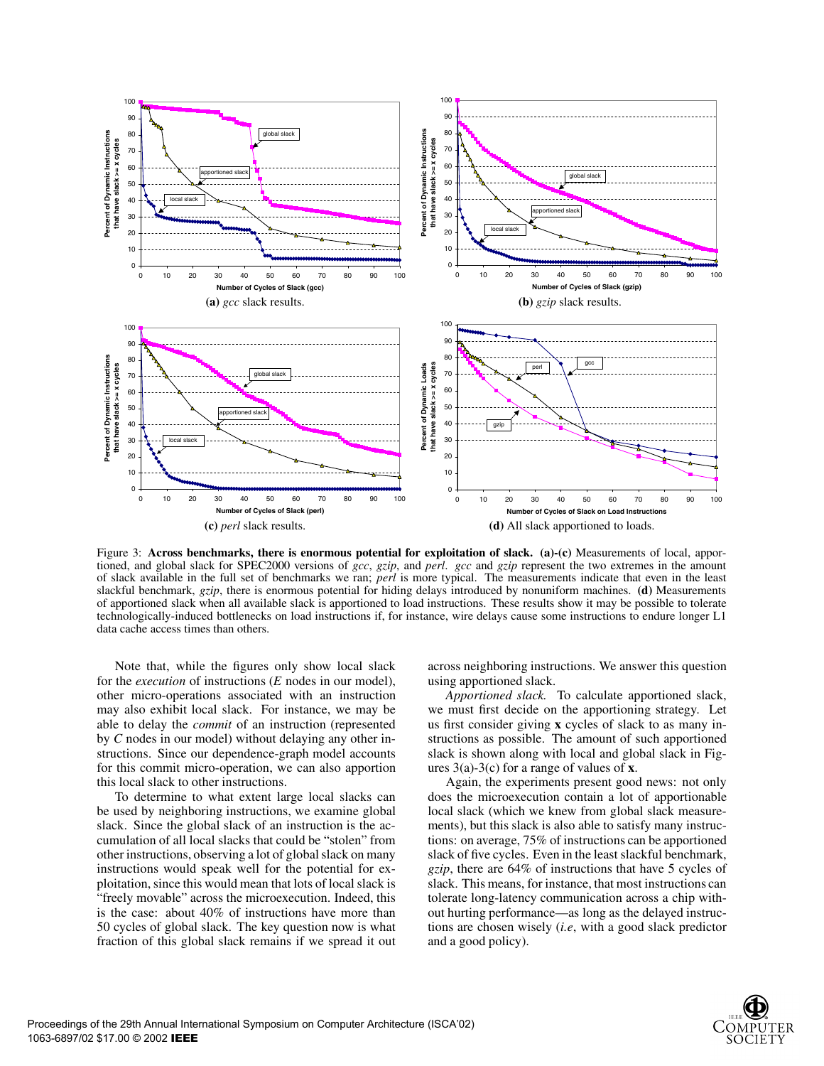

Figure 3: **Across benchmarks, there is enormous potential for exploitation of slack. (a)-(c)** Measurements of local, apportioned, and global slack for SPEC2000 versions of *gcc*, *gzip*, and *perl*. *gcc* and *gzip* represent the two extremes in the amount of slack available in the full set of benchmarks we ran; *perl* is more typical. The measurements indicate that even in the least slackful benchmark, *gzip*, there is enormous potential for hiding delays introduced by nonuniform machines. **(d)** Measurements of apportioned slack when all available slack is apportioned to load instructions. These results show it may be possible to tolerate technologically-induced bottlenecks on load instructions if, for instance, wire delays cause some instructions to endure longer L1 data cache access times than others.

Note that, while the figures only show local slack for the *execution* of instructions (*E* nodes in our model), other micro-operations associated with an instruction may also exhibit local slack. For instance, we may be able to delay the *commit* of an instruction (represented by *C* nodes in our model) without delaying any other instructions. Since our dependence-graph model accounts for this commit micro-operation, we can also apportion this local slack to other instructions.

To determine to what extent large local slacks can be used by neighboring instructions, we examine global slack. Since the global slack of an instruction is the accumulation of all local slacks that could be "stolen" from other instructions, observing a lot of global slack on many instructions would speak well for the potential for exploitation, since this would mean that lots of local slack is "freely movable" across the microexecution. Indeed, this is the case: about 40% of instructions have more than 50 cycles of global slack. The key question now is what fraction of this global slack remains if we spread it out

across neighboring instructions. We answer this question using apportioned slack.

*Apportioned slack.* To calculate apportioned slack, we must first decide on the apportioning strategy. Let us first consider giving **x** cycles of slack to as many instructions as possible. The amount of such apportioned slack is shown along with local and global slack in Figures 3(a)-3(c) for a range of values of **x**.

Again, the experiments present good news: not only does the microexecution contain a lot of apportionable local slack (which we knew from global slack measurements), but this slack is also able to satisfy many instructions: on average, 75% of instructions can be apportioned slack of five cycles. Even in the least slackful benchmark, *gzip*, there are 64% of instructions that have 5 cycles of slack. This means, for instance, that most instructions can tolerate long-latency communication across a chip without hurting performance—as long as the delayed instructions are chosen wisely (*i.e*, with a good slack predictor and a good policy).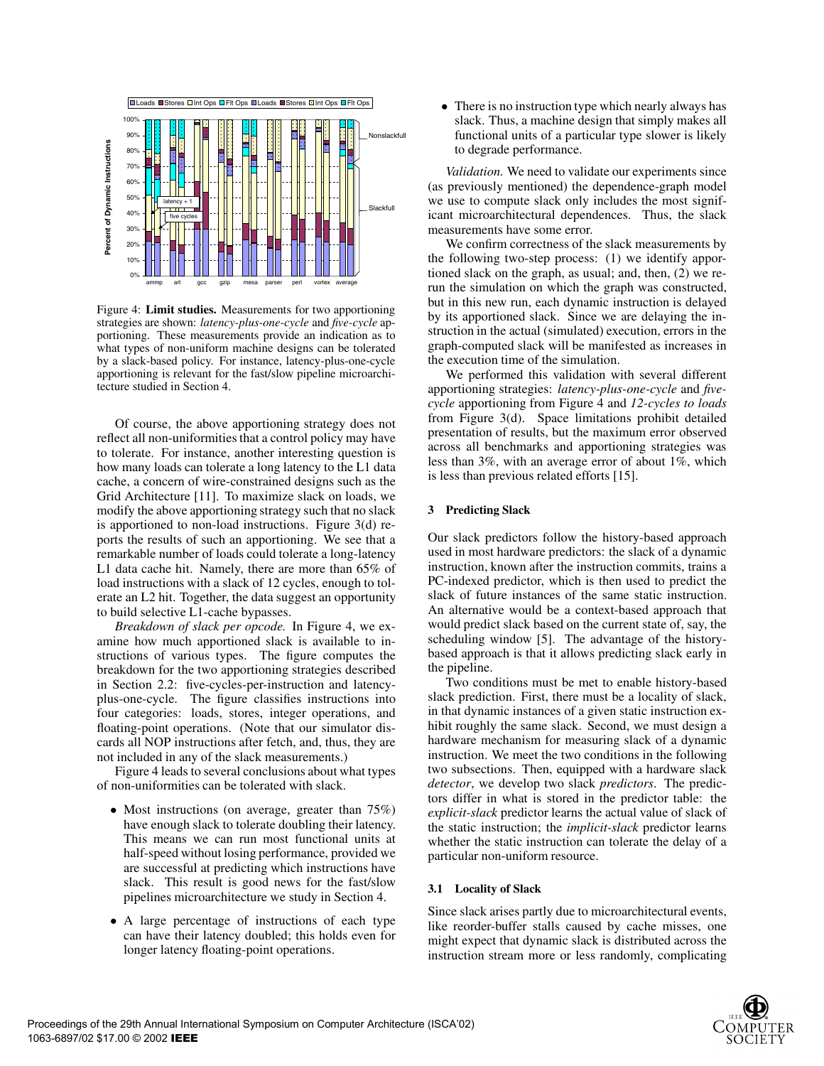

Figure 4: **Limit studies.** Measurements for two apportioning strategies are shown: *latency-plus-one-cycle* and *five-cycle* apportioning. These measurements provide an indication as to what types of non-uniform machine designs can be tolerated by a slack-based policy. For instance, latency-plus-one-cycle apportioning is relevant for the fast/slow pipeline microarchitecture studied in Section 4.

Of course, the above apportioning strategy does not reflect all non-uniformities that a control policy may have to tolerate. For instance, another interesting question is how many loads can tolerate a long latency to the L1 data cache, a concern of wire-constrained designs such as the Grid Architecture [11]. To maximize slack on loads, we modify the above apportioning strategy such that no slack is apportioned to non-load instructions. Figure 3(d) reports the results of such an apportioning. We see that a remarkable number of loads could tolerate a long-latency L1 data cache hit. Namely, there are more than 65% of load instructions with a slack of 12 cycles, enough to tolerate an L2 hit. Together, the data suggest an opportunity to build selective L1-cache bypasses.

*Breakdown of slack per opcode.* In Figure 4, we examine how much apportioned slack is available to instructions of various types. The figure computes the breakdown for the two apportioning strategies described in Section 2.2: five-cycles-per-instruction and latencyplus-one-cycle. The figure classifies instructions into four categories: loads, stores, integer operations, and floating-point operations. (Note that our simulator discards all NOP instructions after fetch, and, thus, they are not included in any of the slack measurements.)

Figure 4 leads to several conclusions about what types of non-uniformities can be tolerated with slack.

- Most instructions (on average, greater than 75%) have enough slack to tolerate doubling their latency. This means we can run most functional units at half-speed without losing performance, provided we are successful at predicting which instructions have slack. This result is good news for the fast/slow pipelines microarchitecture we study in Section 4.
- A large percentage of instructions of each type can have their latency doubled; this holds even for longer latency floating-point operations.

• There is no instruction type which nearly always has slack. Thus, a machine design that simply makes all functional units of a particular type slower is likely to degrade performance.

*Validation.* We need to validate our experiments since (as previously mentioned) the dependence-graph model we use to compute slack only includes the most significant microarchitectural dependences. Thus, the slack measurements have some error.

We confirm correctness of the slack measurements by the following two-step process: (1) we identify apportioned slack on the graph, as usual; and, then, (2) we rerun the simulation on which the graph was constructed, but in this new run, each dynamic instruction is delayed by its apportioned slack. Since we are delaying the instruction in the actual (simulated) execution, errors in the graph-computed slack will be manifested as increases in the execution time of the simulation.

We performed this validation with several different apportioning strategies: *latency-plus-one-cycle* and *fivecycle* apportioning from Figure 4 and *12-cycles to loads* from Figure 3(d). Space limitations prohibit detailed presentation of results, but the maximum error observed across all benchmarks and apportioning strategies was less than 3%, with an average error of about 1%, which is less than previous related efforts [15].

## **3 Predicting Slack**

Our slack predictors follow the history-based approach used in most hardware predictors: the slack of a dynamic instruction, known after the instruction commits, trains a PC-indexed predictor, which is then used to predict the slack of future instances of the same static instruction. An alternative would be a context-based approach that would predict slack based on the current state of, say, the scheduling window [5]. The advantage of the historybased approach is that it allows predicting slack early in the pipeline.

Two conditions must be met to enable history-based slack prediction. First, there must be a locality of slack, in that dynamic instances of a given static instruction exhibit roughly the same slack. Second, we must design a hardware mechanism for measuring slack of a dynamic instruction. We meet the two conditions in the following two subsections. Then, equipped with a hardware slack *detector*, we develop two slack *predictors*. The predictors differ in what is stored in the predictor table: the *explicit-slack* predictor learns the actual value of slack of the static instruction; the *implicit-slack* predictor learns whether the static instruction can tolerate the delay of a particular non-uniform resource.

## **3.1 Locality of Slack**

Since slack arises partly due to microarchitectural events, like reorder-buffer stalls caused by cache misses, one might expect that dynamic slack is distributed across the instruction stream more or less randomly, complicating

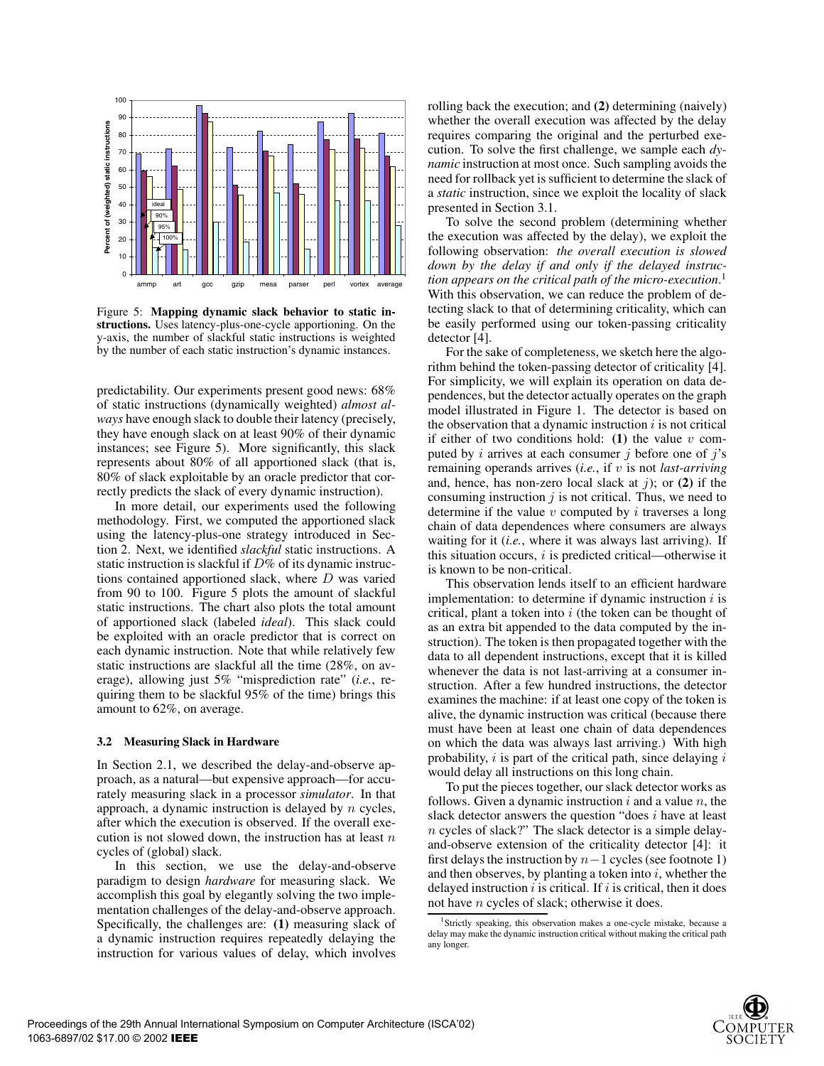

Figure 5: **Mapping dynamic slack behavior to static instructions.** Uses latency-plus-one-cycle apportioning. On the y-axis, the number of slackful static instructions is weighted by the number of each static instruction's dynamic instances.

predictability. Our experiments present good news: 68% of static instructions (dynamically weighted) *almost always* have enough slack to double their latency (precisely, they have enough slack on at least 90% of their dynamic instances; see Figure 5). More significantly, this slack represents about 80% of all apportioned slack (that is, 80% of slack exploitable by an oracle predictor that correctly predicts the slack of every dynamic instruction).

In more detail, our experiments used the following methodology. First, we computed the apportioned slack using the latency-plus-one strategy introduced in Section 2. Next, we identified *slackful* static instructions. A static instruction is slackful if *D*% of its dynamic instructions contained apportioned slack, where *D* was varied from 90 to 100. Figure 5 plots the amount of slackful static instructions. The chart also plots the total amount of apportioned slack (labeled *ideal*). This slack could be exploited with an oracle predictor that is correct on each dynamic instruction. Note that while relatively few static instructions are slackful all the time (28%, on average), allowing just 5% "misprediction rate" (*i.e.*, requiring them to be slackful 95% of the time) brings this amount to 62%, on average.

#### **3.2 Measuring Slack in Hardware**

In Section 2.1, we described the delay-and-observe approach, as a natural—but expensive approach—for accurately measuring slack in a processor *simulator*. In that approach, a dynamic instruction is delayed by *n* cycles, after which the execution is observed. If the overall execution is not slowed down, the instruction has at least *n* cycles of (global) slack.

In this section, we use the delay-and-observe paradigm to design *hardware* for measuring slack. We accomplish this goal by elegantly solving the two implementation challenges of the delay-and-observe approach. Specifically, the challenges are: **(1)** measuring slack of a dynamic instruction requires repeatedly delaying the instruction for various values of delay, which involves

rolling back the execution; and **(2)** determining (naively) whether the overall execution was affected by the delay requires comparing the original and the perturbed execution. To solve the first challenge, we sample each *dynamic* instruction at most once. Such sampling avoids the need for rollback yet is sufficient to determine the slack of a *static* instruction, since we exploit the locality of slack presented in Section 3.1.

To solve the second problem (determining whether the execution was affected by the delay), we exploit the following observation: *the overall execution is slowed down by the delay if and only if the delayed instruction appears on the critical path of the micro-execution*. 1 With this observation, we can reduce the problem of detecting slack to that of determining criticality, which can be easily performed using our token-passing criticality detector [4].

For the sake of completeness, we sketch here the algorithm behind the token-passing detector of criticality [4]. For simplicity, we will explain its operation on data dependences, but the detector actually operates on the graph model illustrated in Figure 1. The detector is based on the observation that a dynamic instruction *i* is not critical if either of two conditions hold: **(1)** the value *v* computed by *i* arrives at each consumer *j* before one of *j*'s remaining operands arrives (*i.e.*, if *v* is not *last-arriving* and, hence, has non-zero local slack at *j*); or **(2)** if the consuming instruction  $j$  is not critical. Thus, we need to determine if the value *v* computed by *i* traverses a long chain of data dependences where consumers are always waiting for it (*i.e.*, where it was always last arriving). If this situation occurs, *i* is predicted critical—otherwise it is known to be non-critical.

This observation lends itself to an efficient hardware implementation: to determine if dynamic instruction *i* is critical, plant a token into *i* (the token can be thought of as an extra bit appended to the data computed by the instruction). The token is then propagated together with the data to all dependent instructions, except that it is killed whenever the data is not last-arriving at a consumer instruction. After a few hundred instructions, the detector examines the machine: if at least one copy of the token is alive, the dynamic instruction was critical (because there must have been at least one chain of data dependences on which the data was always last arriving.) With high probability, *i* is part of the critical path, since delaying *i* would delay all instructions on this long chain.

To put the pieces together, our slack detector works as follows. Given a dynamic instruction *i* and a value *n*, the slack detector answers the question "does *i* have at least *n* cycles of slack?" The slack detector is a simple delayand-observe extension of the criticality detector [4]: it first delays the instruction by *n*−1 cycles (see footnote 1) and then observes, by planting a token into *i*, whether the delayed instruction *i* is critical. If *i* is critical, then it does not have *n* cycles of slack; otherwise it does.

<sup>&</sup>lt;sup>1</sup>Strictly speaking, this observation makes a one-cycle mistake, because a delay may make the dynamic instruction critical without making the critical path any longer.

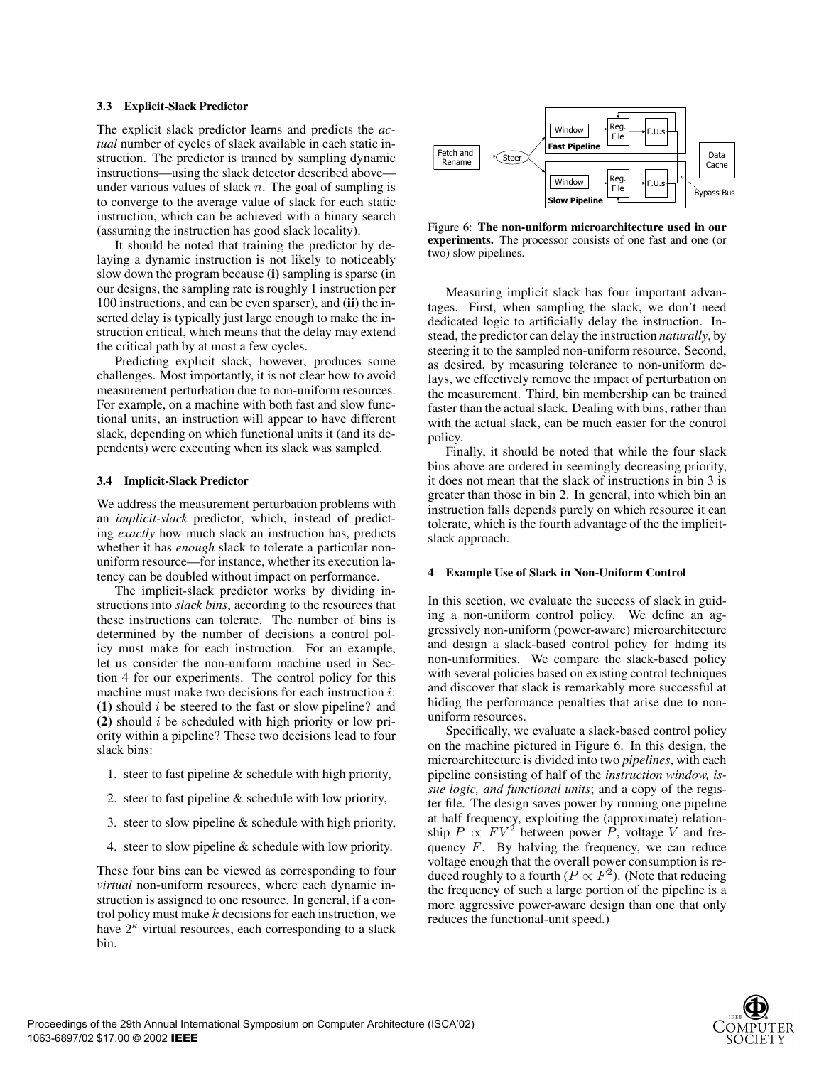## **3.3 Explicit-Slack Predictor**

The explicit slack predictor learns and predicts the *actual* number of cycles of slack available in each static instruction. The predictor is trained by sampling dynamic instructions—using the slack detector described above under various values of slack *n*. The goal of sampling is to converge to the average value of slack for each static instruction, which can be achieved with a binary search (assuming the instruction has good slack locality).

It should be noted that training the predictor by delaying a dynamic instruction is not likely to noticeably slow down the program because **(i)** sampling is sparse (in our designs, the sampling rate is roughly 1 instruction per 100 instructions, and can be even sparser), and **(ii)** the inserted delay is typically just large enough to make the instruction critical, which means that the delay may extend the critical path by at most a few cycles.

Predicting explicit slack, however, produces some challenges. Most importantly, it is not clear how to avoid measurement perturbation due to non-uniform resources. For example, on a machine with both fast and slow functional units, an instruction will appear to have different slack, depending on which functional units it (and its dependents) were executing when its slack was sampled.

# **3.4 Implicit-Slack Predictor**

We address the measurement perturbation problems with an *implicit-slack* predictor, which, instead of predicting *exactly* how much slack an instruction has, predicts whether it has *enough* slack to tolerate a particular nonuniform resource—for instance, whether its execution latency can be doubled without impact on performance.

The implicit-slack predictor works by dividing instructions into *slack bins*, according to the resources that these instructions can tolerate. The number of bins is determined by the number of decisions a control policy must make for each instruction. For an example, let us consider the non-uniform machine used in Section 4 for our experiments. The control policy for this machine must make two decisions for each instruction *i*: **(1)** should *i* be steered to the fast or slow pipeline? and **(2)** should *i* be scheduled with high priority or low priority within a pipeline? These two decisions lead to four slack bins:

- 1. steer to fast pipeline & schedule with high priority,
- 2. steer to fast pipeline & schedule with low priority,
- 3. steer to slow pipeline & schedule with high priority,
- 4. steer to slow pipeline & schedule with low priority.

These four bins can be viewed as corresponding to four *virtual* non-uniform resources, where each dynamic instruction is assigned to one resource. In general, if a control policy must make *k* decisions for each instruction, we have  $2^k$  virtual resources, each corresponding to a slack bin.



Figure 6: **The non-uniform microarchitecture used in our experiments.** The processor consists of one fast and one (or two) slow pipelines.

Measuring implicit slack has four important advantages. First, when sampling the slack, we don't need dedicated logic to artificially delay the instruction. Instead, the predictor can delay the instruction *naturally*, by steering it to the sampled non-uniform resource. Second, as desired, by measuring tolerance to non-uniform delays, we effectively remove the impact of perturbation on the measurement. Third, bin membership can be trained faster than the actual slack. Dealing with bins, rather than with the actual slack, can be much easier for the control policy.

Finally, it should be noted that while the four slack bins above are ordered in seemingly decreasing priority, it does not mean that the slack of instructions in bin 3 is greater than those in bin 2. In general, into which bin an instruction falls depends purely on which resource it can tolerate, which is the fourth advantage of the the implicitslack approach.

## **4 Example Use of Slack in Non-Uniform Control**

In this section, we evaluate the success of slack in guiding a non-uniform control policy. We define an aggressively non-uniform (power-aware) microarchitecture and design a slack-based control policy for hiding its non-uniformities. We compare the slack-based policy with several policies based on existing control techniques and discover that slack is remarkably more successful at hiding the performance penalties that arise due to nonuniform resources.

Specifically, we evaluate a slack-based control policy on the machine pictured in Figure 6. In this design, the microarchitecture is divided into two *pipelines*, with each pipeline consisting of half of the *instruction window, issue logic, and functional units*; and a copy of the register file. The design saves power by running one pipeline at half frequency, exploiting the (approximate) relationship *P*  $\propto FV^2$  between power *P*, voltage *V* and frequency *F*. By halving the frequency, we can reduce voltage enough that the overall power consumption is reduced roughly to a fourth ( $P \propto F^2$ ). (Note that reducing the frequency of such a large portion of the pipeline is a more aggressive power-aware design than one that only reduces the functional-unit speed.)

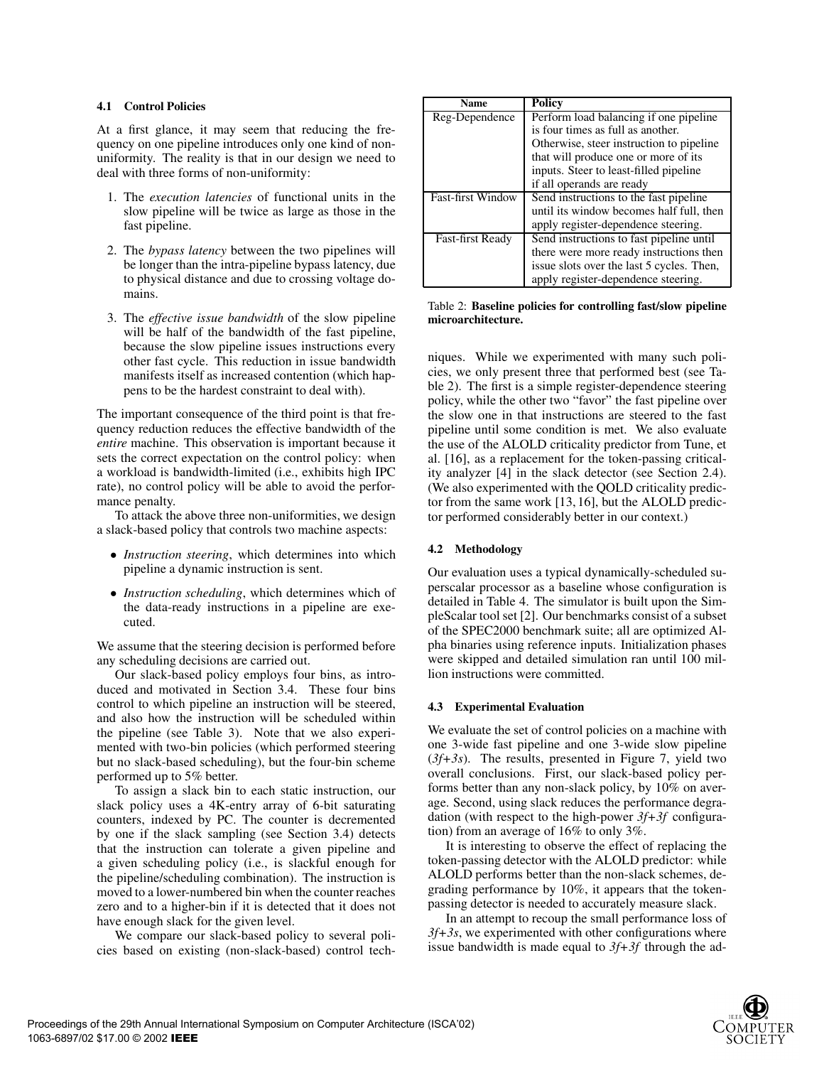# **4.1 Control Policies**

At a first glance, it may seem that reducing the frequency on one pipeline introduces only one kind of nonuniformity. The reality is that in our design we need to deal with three forms of non-uniformity:

- 1. The *execution latencies* of functional units in the slow pipeline will be twice as large as those in the fast pipeline.
- 2. The *bypass latency* between the two pipelines will be longer than the intra-pipeline bypass latency, due to physical distance and due to crossing voltage domains.
- 3. The *effective issue bandwidth* of the slow pipeline will be half of the bandwidth of the fast pipeline, because the slow pipeline issues instructions every other fast cycle. This reduction in issue bandwidth manifests itself as increased contention (which happens to be the hardest constraint to deal with).

The important consequence of the third point is that frequency reduction reduces the effective bandwidth of the *entire* machine. This observation is important because it sets the correct expectation on the control policy: when a workload is bandwidth-limited (i.e., exhibits high IPC rate), no control policy will be able to avoid the performance penalty.

To attack the above three non-uniformities, we design a slack-based policy that controls two machine aspects:

- *Instruction steering*, which determines into which pipeline a dynamic instruction is sent.
- *Instruction scheduling*, which determines which of the data-ready instructions in a pipeline are executed.

We assume that the steering decision is performed before any scheduling decisions are carried out.

Our slack-based policy employs four bins, as introduced and motivated in Section 3.4. These four bins control to which pipeline an instruction will be steered, and also how the instruction will be scheduled within the pipeline (see Table 3). Note that we also experimented with two-bin policies (which performed steering but no slack-based scheduling), but the four-bin scheme performed up to 5% better.

To assign a slack bin to each static instruction, our slack policy uses a 4K-entry array of 6-bit saturating counters, indexed by PC. The counter is decremented by one if the slack sampling (see Section 3.4) detects that the instruction can tolerate a given pipeline and a given scheduling policy (i.e., is slackful enough for the pipeline/scheduling combination). The instruction is moved to a lower-numbered bin when the counter reaches zero and to a higher-bin if it is detected that it does not have enough slack for the given level.

We compare our slack-based policy to several policies based on existing (non-slack-based) control tech-

| <b>Name</b>              | <b>Policy</b>                             |
|--------------------------|-------------------------------------------|
| Reg-Dependence           | Perform load balancing if one pipeline    |
|                          | is four times as full as another.         |
|                          | Otherwise, steer instruction to pipeline  |
|                          | that will produce one or more of its      |
|                          | inputs. Steer to least-filled pipeline    |
|                          | if all operands are ready                 |
| <b>Fast-first Window</b> | Send instructions to the fast pipeline    |
|                          | until its window becomes half full, then  |
|                          | apply register-dependence steering.       |
| <b>Fast-first Ready</b>  | Send instructions to fast pipeline until  |
|                          | there were more ready instructions then   |
|                          | issue slots over the last 5 cycles. Then, |
|                          | apply register-dependence steering.       |

Table 2: **Baseline policies for controlling fast/slow pipeline microarchitecture.**

niques. While we experimented with many such policies, we only present three that performed best (see Table 2). The first is a simple register-dependence steering policy, while the other two "favor" the fast pipeline over the slow one in that instructions are steered to the fast pipeline until some condition is met. We also evaluate the use of the ALOLD criticality predictor from Tune, et al. [16], as a replacement for the token-passing criticality analyzer [4] in the slack detector (see Section 2.4). (We also experimented with the QOLD criticality predictor from the same work  $[13, 16]$ , but the ALOLD predictor performed considerably better in our context.)

# **4.2 Methodology**

Our evaluation uses a typical dynamically-scheduled superscalar processor as a baseline whose configuration is detailed in Table 4. The simulator is built upon the SimpleScalar tool set [2]. Our benchmarks consist of a subset of the SPEC2000 benchmark suite; all are optimized Alpha binaries using reference inputs. Initialization phases were skipped and detailed simulation ran until 100 million instructions were committed.

# **4.3 Experimental Evaluation**

We evaluate the set of control policies on a machine with one 3-wide fast pipeline and one 3-wide slow pipeline (*3f+3s*). The results, presented in Figure 7, yield two overall conclusions. First, our slack-based policy performs better than any non-slack policy, by 10% on average. Second, using slack reduces the performance degradation (with respect to the high-power *3f+3f* configuration) from an average of 16% to only 3%.

It is interesting to observe the effect of replacing the token-passing detector with the ALOLD predictor: while ALOLD performs better than the non-slack schemes, degrading performance by 10%, it appears that the tokenpassing detector is needed to accurately measure slack.

In an attempt to recoup the small performance loss of *3f+3s*, we experimented with other configurations where issue bandwidth is made equal to *3f+3f* through the ad-

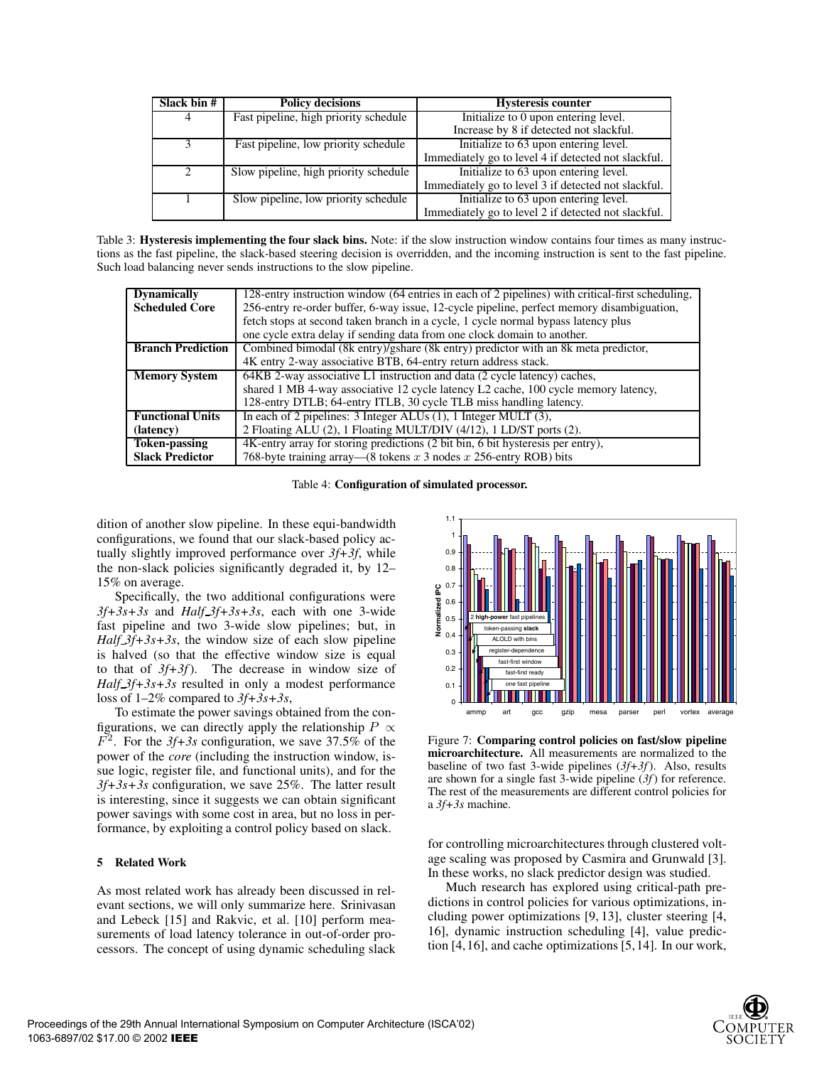| Slack bin #   | <b>Policy decisions</b>               | <b>Hysteresis counter</b>                           |
|---------------|---------------------------------------|-----------------------------------------------------|
| 4             | Fast pipeline, high priority schedule | Initialize to 0 upon entering level.                |
|               |                                       | Increase by 8 if detected not slackful.             |
|               | Fast pipeline, low priority schedule  | Initialize to 63 upon entering level.               |
|               |                                       | Immediately go to level 4 if detected not slackful. |
| $\mathcal{D}$ | Slow pipeline, high priority schedule | Initialize to 63 upon entering level.               |
|               |                                       | Immediately go to level 3 if detected not slackful. |
|               | Slow pipeline, low priority schedule  | Initialize to 63 upon entering level.               |
|               |                                       | Immediately go to level 2 if detected not slackful. |

Table 3: **Hysteresis implementing the four slack bins.** Note: if the slow instruction window contains four times as many instructions as the fast pipeline, the slack-based steering decision is overridden, and the incoming instruction is sent to the fast pipeline. Such load balancing never sends instructions to the slow pipeline.

| <b>Dynamically</b>       | 128-entry instruction window (64 entries in each of 2 pipelines) with critical-first scheduling, |  |
|--------------------------|--------------------------------------------------------------------------------------------------|--|
| <b>Scheduled Core</b>    | 256-entry re-order buffer, 6-way issue, 12-cycle pipeline, perfect memory disambiguation,        |  |
|                          | fetch stops at second taken branch in a cycle, 1 cycle normal bypass latency plus                |  |
|                          | one cycle extra delay if sending data from one clock domain to another.                          |  |
| <b>Branch Prediction</b> | Combined bimodal (8k entry)/gshare (8k entry) predictor with an 8k meta predictor,               |  |
|                          | 4K entry 2-way associative BTB, 64-entry return address stack.                                   |  |
| <b>Memory System</b>     | 64KB 2-way associative L1 instruction and data (2 cycle latency) caches,                         |  |
|                          | shared 1 MB 4-way associative 12 cycle latency L2 cache, 100 cycle memory latency,               |  |
|                          | 128-entry DTLB; 64-entry ITLB, 30 cycle TLB miss handling latency.                               |  |
| <b>Functional Units</b>  | In each of 2 pipelines: $3$ Integer ALUs (1), 1 Integer MULT (3),                                |  |
| (latency)                | 2 Floating ALU (2), 1 Floating MULT/DIV (4/12), 1 LD/ST ports (2).                               |  |
| <b>Token-passing</b>     | 4K-entry array for storing predictions (2 bit bin, 6 bit hysteresis per entry),                  |  |
| <b>Slack Predictor</b>   | 768-byte training array—(8 tokens $x$ 3 nodes $x$ 256-entry ROB) bits                            |  |

Table 4: **Configuration of simulated processor.**

dition of another slow pipeline. In these equi-bandwidth configurations, we found that our slack-based policy actually slightly improved performance over *3f+3f*, while the non-slack policies significantly degraded it, by 12– 15% on average.

Specifically, the two additional configurations were *3f+3s+3s* and *Half 3f+3s+3s*, each with one 3-wide fast pipeline and two 3-wide slow pipelines; but, in *Half 3f+3s+3s*, the window size of each slow pipeline is halved (so that the effective window size is equal to that of *3f+3f*). The decrease in window size of *Half 3f+3s+3s* resulted in only a modest performance loss of 1–2% compared to *3f+3s+3s*,

To estimate the power savings obtained from the configurations, we can directly apply the relationship  $P \propto$ *F*<sup>2</sup>. For the *3f+3s* configuration, we save 37.5% of the power of the *core* (including the instruction window, issue logic, register file, and functional units), and for the *3f+3s+3s* configuration, we save 25%. The latter result is interesting, since it suggests we can obtain significant power savings with some cost in area, but no loss in performance, by exploiting a control policy based on slack.

## **5 Related Work**

As most related work has already been discussed in relevant sections, we will only summarize here. Srinivasan and Lebeck [15] and Rakvic, et al. [10] perform measurements of load latency tolerance in out-of-order processors. The concept of using dynamic scheduling slack



Figure 7: **Comparing control policies on fast/slow pipeline microarchitecture.** All measurements are normalized to the baseline of two fast 3-wide pipelines (*3f+3f*). Also, results are shown for a single fast 3-wide pipeline (*3f*) for reference. The rest of the measurements are different control policies for a *3f+3s* machine.

for controlling microarchitectures through clustered voltage scaling was proposed by Casmira and Grunwald [3]. In these works, no slack predictor design was studied.

Much research has explored using critical-path predictions in control policies for various optimizations, including power optimizations [9, 13], cluster steering [4, 16], dynamic instruction scheduling [4], value prediction [4, 16], and cache optimizations [5, 14]. In our work,